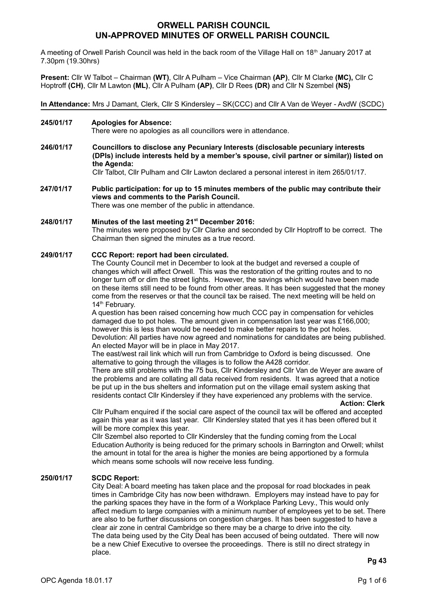# **ORWELL PARISH COUNCIL UN-APPROVED MINUTES OF ORWELL PARISH COUNCIL**

A meeting of Orwell Parish Council was held in the back room of the Village Hall on 18<sup>th</sup> January 2017 at 7.30pm (19.30hrs)

**Present:** Cllr W Talbot – Chairman **(WT)**, Cllr A Pulham – Vice Chairman **(AP)**, Cllr M Clarke **(MC),** Cllr C Hoptroff **(CH)**, Cllr M Lawton **(ML)**, Cllr A Pulham **(AP)**, Cllr D Rees **(DR)** and Cllr N Szembel **(NS)**

**In Attendance:** Mrs J Damant, Clerk, Cllr S Kindersley – SK(CCC) and Cllr A Van de Weyer - AvdW (SCDC)

**245/01/17 Apologies for Absence:**

There were no apologies as all councillors were in attendance.

- **246/01/17 Councillors to disclose any Pecuniary Interests (disclosable pecuniary interests (DPIs) include interests held by a member's spouse, civil partner or similar)) listed on the Agenda:** Cllr Talbot, Cllr Pulham and Cllr Lawton declared a personal interest in item 265/01/17.
- **247/01/17 Public participation: for up to 15 minutes members of the public may contribute their views and comments to the Parish Council.** There was one member of the public in attendance.
- **248/01/17 Minutes of the last meeting 21st December 2016:**  The minutes were proposed by Cllr Clarke and seconded by Cllr Hoptroff to be correct. The Chairman then signed the minutes as a true record.

# **249/01/17 CCC Report: report had been circulated.**

The County Council met in December to look at the budget and reversed a couple of changes which will affect Orwell. This was the restoration of the gritting routes and to no longer turn off or dim the street lights. However, the savings which would have been made on these items still need to be found from other areas. It has been suggested that the money come from the reserves or that the council tax be raised. The next meeting will be held on 14<sup>th</sup> February.

A question has been raised concerning how much CCC pay in compensation for vehicles damaged due to pot holes. The amount given in compensation last year was £166,000; however this is less than would be needed to make better repairs to the pot holes. Devolution: All parties have now agreed and nominations for candidates are being published. An elected Mayor will be in place in May 2017.

The east/west rail link which will run from Cambridge to Oxford is being discussed. One alternative to going through the villages is to follow the A428 corridor.

There are still problems with the 75 bus, Cllr Kindersley and Cllr Van de Weyer are aware of the problems and are collating all data received from residents. It was agreed that a notice be put up in the bus shelters and information put on the village email system asking that residents contact Cllr Kindersley if they have experienced any problems with the service.

**Action: Clerk**

Cllr Pulham enquired if the social care aspect of the council tax will be offered and accepted again this year as it was last year. Cllr Kindersley stated that yes it has been offered but it will be more complex this year.

Cllr Szembel also reported to Cllr Kindersley that the funding coming from the Local Education Authority is being reduced for the primary schools in Barrington and Orwell; whilst the amount in total for the area is higher the monies are being apportioned by a formula which means some schools will now receive less funding.

#### **250/01/17 SCDC Report:**

City Deal: A board meeting has taken place and the proposal for road blockades in peak times in Cambridge City has now been withdrawn. Employers may instead have to pay for the parking spaces they have in the form of a Workplace Parking Levy., This would only affect medium to large companies with a minimum number of employees yet to be set. There are also to be further discussions on congestion charges. It has been suggested to have a clear air zone in central Cambridge so there may be a charge to drive into the city. The data being used by the City Deal has been accused of being outdated. There will now be a new Chief Executive to oversee the proceedings. There is still no direct strategy in place.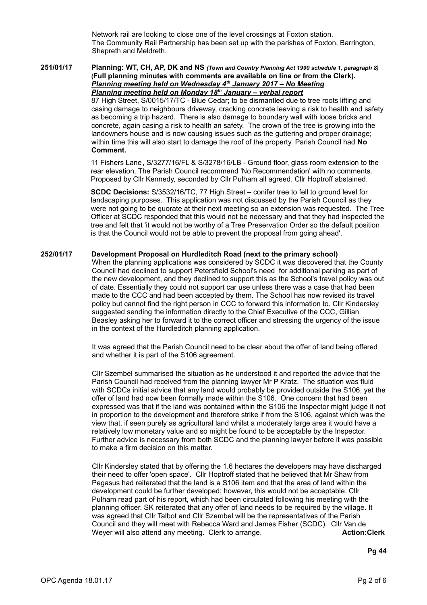Network rail are looking to close one of the level crossings at Foxton station. The Community Rail Partnership has been set up with the parishes of Foxton, Barrington, Shepreth and Meldreth.

#### **251/01/17 Planning: WT, CH, AP, DK and NS** *(Town and Country Planning Act 1990 schedule 1, paragraph 8)* **(Full planning minutes with comments are available on line or from the Clerk).**   *Planning meeting held on Wednesday 4th January 2017 – No Meeting Planning meeting held on Monday 18th January – verbal report*

87 High Street, S/0015/17/TC - Blue Cedar; to be dismantled due to tree roots lifting and casing damage to neighbours driveway, cracking concrete leaving a risk to health and safety as becoming a trip hazard. There is also damage to boundary wall with loose bricks and concrete, again casing a risk to health an safety. The crown of the tree is growing into the landowners house and is now causing issues such as the guttering and proper drainage; within time this will also start to damage the roof of the property. Parish Council had **No Comment.**

11 Fishers Lane, S/3277/16/FL & S/3278/16/LB - Ground floor, glass room extension to the rear elevation. The Parish Council recommend 'No Recommendation' with no comments. Proposed by Cllr Kennedy, seconded by Cllr Pulham all agreed. Cllr Hoptroff abstained.

**SCDC Decisions:** S/3532/16/TC, 77 High Street – conifer tree to fell to ground level for landscaping purposes. This application was not discussed by the Parish Council as they were not going to be quorate at their next meeting so an extension was requested. The Tree Officer at SCDC responded that this would not be necessary and that they had inspected the tree and felt that 'it would not be worthy of a Tree Preservation Order so the default position is that the Council would not be able to prevent the proposal from going ahead'.

## **252/01/17 Development Proposal on Hurdleditch Road (next to the primary school)**

When the planning applications was considered by SCDC it was discovered that the County Council had declined to support Petersfield School's need for additional parking as part of the new development, and they declined to support this as the School's travel policy was out of date. Essentially they could not support car use unless there was a case that had been made to the CCC and had been accepted by them. The School has now revised its travel policy but cannot find the right person in CCC to forward this information to. Cllr Kindersley suggested sending the information directly to the Chief Executive of the CCC, Gillian Beasley asking her to forward it to the correct officer and stressing the urgency of the issue in the context of the Hurdleditch planning application.

It was agreed that the Parish Council need to be clear about the offer of land being offered and whether it is part of the S106 agreement.

Cllr Szembel summarised the situation as he understood it and reported the advice that the Parish Council had received from the planning lawyer Mr P Kratz. The situation was fluid with SCDCs initial advice that any land would probably be provided outside the S106, yet the offer of land had now been formally made within the S106. One concern that had been expressed was that if the land was contained within the S106 the Inspector might judge it not in proportion to the development and therefore strike if from the S106, against which was the view that, if seen purely as agricultural land whilst a moderately large area it would have a relatively low monetary value and so might be found to be acceptable by the Inspector. Further advice is necessary from both SCDC and the planning lawyer before it was possible to make a firm decision on this matter.

Cllr Kindersley stated that by offering the 1.6 hectares the developers may have discharged their need to offer 'open space'. Cllr Hoptroff stated that he believed that Mr Shaw from Pegasus had reiterated that the land is a S106 item and that the area of land within the development could be further developed; however, this would not be acceptable. Cllr Pulham read part of his report, which had been circulated following his meeting with the planning officer. SK reiterated that any offer of land needs to be required by the village. It was agreed that Cllr Talbot and Cllr Szembel will be the representatives of the Parish Council and they will meet with Rebecca Ward and James Fisher (SCDC). Cllr Van de Weyer will also attend any meeting. Clerk to arrange. **Action:Clerk Action:Clerk** 

**Pg 44**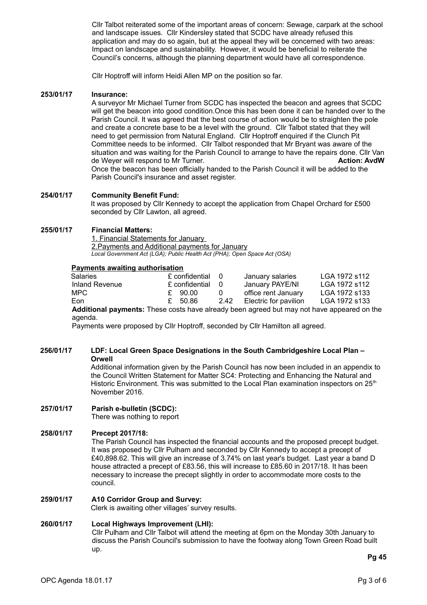Cllr Talbot reiterated some of the important areas of concern: Sewage, carpark at the school and landscape issues. Cllr Kindersley stated that SCDC have already refused this application and may do so again, but at the appeal they will be concerned with two areas: Impact on landscape and sustainability. However, it would be beneficial to reiterate the Council's concerns, although the planning department would have all correspondence.

Cllr Hoptroff will inform Heidi Allen MP on the position so far.

## **253/01/17 Insurance:**

A surveyor Mr Michael Turner from SCDC has inspected the beacon and agrees that SCDC will get the beacon into good condition.Once this has been done it can be handed over to the Parish Council. It was agreed that the best course of action would be to straighten the pole and create a concrete base to be a level with the ground. Cllr Talbot stated that they will need to get permission from Natural England. Cllr Hoptroff enquired if the Clunch Pit Committee needs to be informed. Cllr Talbot responded that Mr Bryant was aware of the situation and was waiting for the Parish Council to arrange to have the repairs done. Cllr Van de Weyer will respond to Mr Turner. **Action: AvdW** Once the beacon has been officially handed to the Parish Council it will be added to the Parish Council's insurance and asset register.

#### **254/01/17 Community Benefit Fund:**

It was proposed by Cllr Kennedy to accept the application from Chapel Orchard for £500 seconded by Cllr Lawton, all agreed.

#### **255/01/17 Financial Matters:**

1. Financial Statements for January 2.Payments and Additional payments for January *Local Government Act (LGA); Public Health Act (PHA); Open Space Act (OSA)*

## **Payments awaiting authorisation**

| <b>Salaries</b> | £ confidential 0 |          | January salaries      | LGA 1972 s112                                                                                     |
|-----------------|------------------|----------|-----------------------|---------------------------------------------------------------------------------------------------|
| Inland Revenue  | £ confidential   | - 0      | January PAYE/NI       | LGA 1972 s112                                                                                     |
| MPC.            | £ 90.00          | $\Omega$ | office rent January   | LGA 1972 s133                                                                                     |
| Eon.            | £ 50.86          | 2.42     | Electric for pavilion | LGA 1972 s133                                                                                     |
|                 |                  |          |                       | <b>Additional payments:</b> These costs have already been agreed but may not have appeared on the |

agenda.

Payments were proposed by Cllr Hoptroff, seconded by Cllr Hamilton all agreed.

# **256/01/17 LDF: Local Green Space Designations in the South Cambridgeshire Local Plan – Orwell**

Additional information given by the Parish Council has now been included in an appendix to the Council Written Statement for Matter SC4: Protecting and Enhancing the Natural and Historic Environment. This was submitted to the Local Plan examination inspectors on  $25<sup>th</sup>$ November 2016.

# **257/01/17 Parish e-bulletin (SCDC):**

There was nothing to report

#### **258/01/17 Precept 2017/18:**

The Parish Council has inspected the financial accounts and the proposed precept budget. It was proposed by Cllr Pulham and seconded by Cllr Kennedy to accept a precept of £40,898.62. This will give an increase of 3.74% on last year's budget. Last year a band D house attracted a precept of £83.56, this will increase to £85.60 in 2017/18. It has been necessary to increase the precept slightly in order to accommodate more costs to the council.

#### **259/01/17 A10 Corridor Group and Survey:**

Clerk is awaiting other villages' survey results.

## **260/01/17 Local Highways Improvement (LHI):**

Cllr Pulham and Cllr Talbot will attend the meeting at 6pm on the Monday 30th January to discuss the Parish Council's submission to have the footway along Town Green Road built up.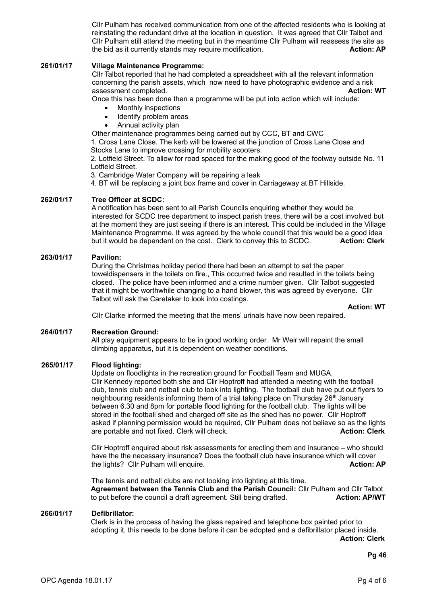Cllr Pulham has received communication from one of the affected residents who is looking at reinstating the redundant drive at the location in question. It was agreed that Cllr Talbot and Cllr Pulham still attend the meeting but in the meantime Cllr Pulham will reassess the site as the bid as it currently stands may require modification. **Action: AP Action: AP** 

# **261/01/17 Village Maintenance Programme:**

Cllr Talbot reported that he had completed a spreadsheet with all the relevant information concerning the parish assets, which now need to have photographic evidence and a risk<br>assessment completed. **Action: WT** assessment completed.

Once this has been done then a programme will be put into action which will include:

- Monthly inspections
- Identify problem areas
- Annual activity plan

Other maintenance programmes being carried out by CCC, BT and CWC

1. Cross Lane Close. The kerb will be lowered at the junction of Cross Lane Close and Stocks Lane to improve crossing for mobility scooters.

2. Lotfield Street. To allow for road spaced for the making good of the footway outside No. 11 Lotfield Street.

3. Cambridge Water Company will be repairing a leak

4. BT will be replacing a joint box frame and cover in Carriageway at BT Hillside.

#### **262/01/17 Tree Officer at SCDC:**

A notification has been sent to all Parish Councils enquiring whether they would be interested for SCDC tree department to inspect parish trees, there will be a cost involved but at the moment they are just seeing if there is an interest. This could be included in the Village Maintenance Programme. It was agreed by the whole council that this would be a good idea<br>but it would be dependent on the cost. Clerk to convey this to SCDC. **Action: Clerk** but it would be dependent on the cost. Clerk to convey this to SCDC.

## **263/01/17 Pavilion:**

During the Christmas holiday period there had been an attempt to set the paper toweldispensers in the toilets on fire., This occurred twice and resulted in the toilets being closed. The police have been informed and a crime number given. Cllr Talbot suggested that it might be worthwhile changing to a hand blower, this was agreed by everyone. Cllr Talbot will ask the Caretaker to look into costings.

 **Action: WT**

Cllr Clarke informed the meeting that the mens' urinals have now been repaired.

#### **264/01/17 Recreation Ground:**

All play equipment appears to be in good working order. Mr Weir will repaint the small climbing apparatus, but it is dependent on weather conditions.

#### **265/01/17 Flood lighting:**

Update on floodlights in the recreation ground for Football Team and MUGA. Cllr Kennedy reported both she and Cllr Hoptroff had attended a meeting with the football club, tennis club and netball club to look into lighting. The football club have put out flyers to neighbouring residents informing them of a trial taking place on Thursday  $26<sup>th</sup>$  January between 6.30 and 8pm for portable flood lighting for the football club. The lights will be stored in the football shed and charged off site as the shed has no power. Cllr Hoptroff asked if planning permission would be required, Cllr Pulham does not believe so as the lights are portable and not fixed. Clerk will check. **Action: Clerk** Action: Clerk

Cllr Hoptroff enquired about risk assessments for erecting them and insurance – who should have the the necessary insurance? Does the football club have insurance which will cover the lights? Cllr Pulham will enquire. **Action: AP**

The tennis and netball clubs are not looking into lighting at this time. **Agreement between the Tennis Club and the Parish Council:** Cllr Pulham and Cllr Talbot to put before the council a draft agreement. Still being drafted. **Action: AP/WT** 

#### **266/01/17 Defibrillator:**

Clerk is in the process of having the glass repaired and telephone box painted prior to adopting it, this needs to be done before it can be adopted and a defibrillator placed inside.

**Action: Clerk**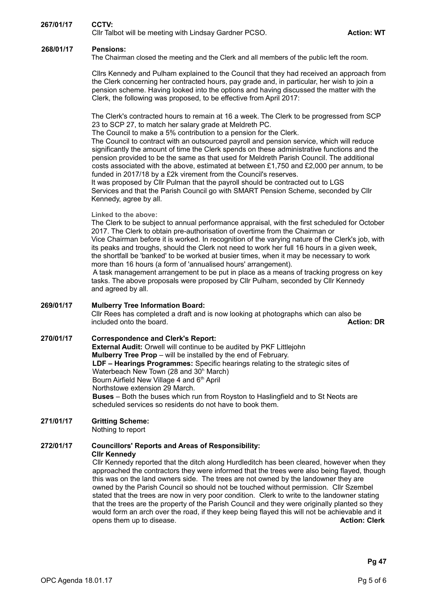# **267/01/17 CCTV:**

Cllr Talbot will be meeting with Lindsay Gardner PCSO. **Action: WT** Action: WT

# **268/01/17 Pensions:**

The Chairman closed the meeting and the Clerk and all members of the public left the room.

Cllrs Kennedy and Pulham explained to the Council that they had received an approach from the Clerk concerning her contracted hours, pay grade and, in particular, her wish to join a pension scheme. Having looked into the options and having discussed the matter with the Clerk, the following was proposed, to be effective from April 2017:

The Clerk's contracted hours to remain at 16 a week. The Clerk to be progressed from SCP 23 to SCP 27, to match her salary grade at Meldreth PC.

The Council to make a 5% contribution to a pension for the Clerk.

The Council to contract with an outsourced payroll and pension service, which will reduce significantly the amount of time the Clerk spends on these administrative functions and the pension provided to be the same as that used for Meldreth Parish Council. The additional costs associated with the above, estimated at between £1,750 and £2,000 per annum, to be funded in 2017/18 by a £2k virement from the Council's reserves.

It was proposed by Cllr Pulman that the payroll should be contracted out to LGS Services and that the Parish Council go with SMART Pension Scheme, seconded by Cllr Kennedy, agree by all.

**Linked to the above:**

The Clerk to be subject to annual performance appraisal, with the first scheduled for October 2017. The Clerk to obtain pre-authorisation of overtime from the Chairman or Vice Chairman before it is worked. In recognition of the varying nature of the Clerk's job, with its peaks and troughs, should the Clerk not need to work her full 16 hours in a given week, the shortfall be 'banked' to be worked at busier times, when it may be necessary to work more than 16 hours (a form of 'annualised hours' arrangement).

 A task management arrangement to be put in place as a means of tracking progress on key tasks. The above proposals were proposed by Cllr Pulham, seconded by Cllr Kennedy and agreed by all.

#### **269/01/17 Mulberry Tree Information Board:**

Cllr Rees has completed a draft and is now looking at photographs which can also be included onto the board.<br>**Action: DR** included onto the board.

**270/01/17 Correspondence and Clerk's Report: External Audit:** Orwell will continue to be audited by PKF Littlejohn **Mulberry Tree Prop** – will be installed by the end of February. **LDF – Hearings Programmes:** Specific hearings relating to the strategic sites of Waterbeach New Town (28 and 30<sup>h</sup> March) Bourn Airfield New Village 4 and 6<sup>th</sup> April Northstowe extension 29 March. **Buses** – Both the buses which run from Royston to Haslingfield and to St Neots are scheduled services so residents do not have to book them.

# **271/01/17 Gritting Scheme:**

Nothing to report

# **272/01/17 Councillors' Reports and Areas of Responsibility:**

**Cllr Kennedy**

Cllr Kennedy reported that the ditch along Hurdleditch has been cleared, however when they approached the contractors they were informed that the trees were also being flayed, though this was on the land owners side. The trees are not owned by the landowner they are owned by the Parish Council so should not be touched without permission. Cllr Szembel stated that the trees are now in very poor condition. Clerk to write to the landowner stating that the trees are the property of the Parish Council and they were originally planted so they would form an arch over the road, if they keep being flayed this will not be achievable and it opens them up to disease. **Action: Clerk**